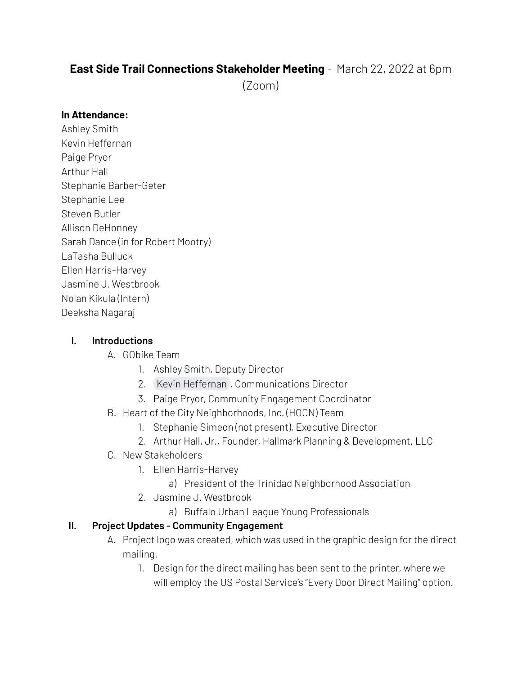# **East Side Trail Connections Stakeholder Meeting** - March 22, 2022 at 6pm

(Zoom)

#### **In Attendance:**

Ashley Smith Kevin Heffernan Paige Pryor Arthur Hall Stephanie Barber-Geter Stephanie Lee Steven Butler Allison DeHonney Sarah Dance (in for Robert Mootry) LaTasha Bulluck Ellen Harris-Harvey Jasmine J. Westbrook Nolan Kikula (Intern) Deeksha Nagaraj

#### **I. Introductions**

#### A. GObike Team

- 1. Ashley Smith, Deputy Director
- 2. Kevin [Heffernan](mailto:kevin@gobikebuffalo.org) , Communications Director
- 3. Paige Pryor, Community Engagement Coordinator
- B. Heart of the City Neighborhoods, Inc. (HOCN) Team
	- 1. Stephanie Simeon (not present), Executive Director
	- 2. Arthur Hall, Jr., Founder, Hallmark Planning & Development, LLC
- C. New Stakeholders
	- 1. Ellen Harris-Harvey
		- a) President of the Trinidad Neighborhood Association
	- 2. Jasmine J. Westbrook
		- a) Buffalo Urban League Young Professionals

#### **II. Project Updates - Community Engagement**

- A. Project logo was created, which was used in the graphic design for the direct mailing.
	- 1. Design for the direct mailing has been sent to the printer, where we will employ the US Postal Service's "Every Door Direct Mailing" option.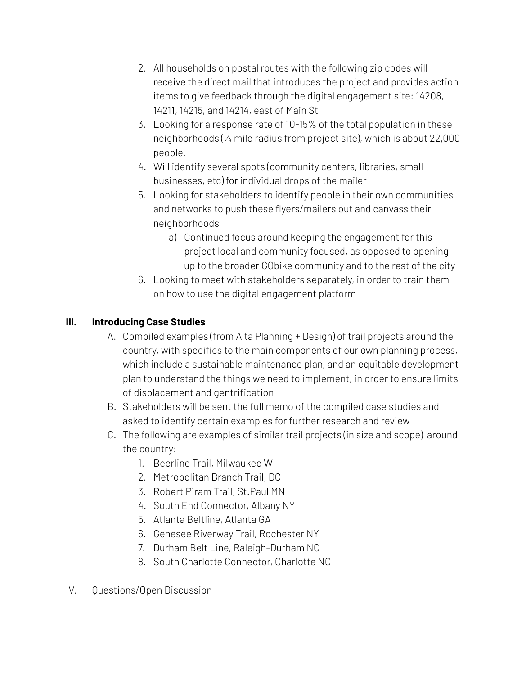- 2. All households on postal routes with the following zip codes will receive the direct mail that introduces the project and provides action items to give feedback through the digital engagement site: 14208, 14211, 14215, and 14214, east of Main St
- 3. Looking for a response rate of 10-15% of the total population in these neighborhoods (¼ mile radius from project site), which is about 22,000 people.
- 4. Will identify several spots (community centers, libraries, small businesses, etc) for individual drops of the mailer
- 5. Looking for stakeholders to identify people in their own communities and networks to push these flyers/mailers out and canvass their neighborhoods
	- a) Continued focus around keeping the engagement for this project local and community focused, as opposed to opening up to the broader GObike community and to the rest of the city
- 6. Looking to meet with stakeholders separately, in order to train them on how to use the digital engagement platform

### **III. Introducing Case Studies**

- A. Compiled examples (from Alta Planning + Design) of trail projects around the country, with specifics to the main components of our own planning process, which include a sustainable maintenance plan, and an equitable development plan to understand the things we need to implement, in order to ensure limits of displacement and gentrification
- B. Stakeholders will be sent the full memo of the compiled case studies and asked to identify certain examples for further research and review
- C. The following are examples of similar trail projects (in size and scope) around the country:
	- 1. Beerline Trail, Milwaukee WI
	- 2. Metropolitan Branch Trail, DC
	- 3. Robert Piram Trail, St.Paul MN
	- 4. South End Connector, Albany NY
	- 5. Atlanta Beltline, Atlanta GA
	- 6. Genesee Riverway Trail, Rochester NY
	- 7. Durham Belt Line, Raleigh-Durham NC
	- 8. South Charlotte Connector, Charlotte NC
- IV. Questions/Open Discussion